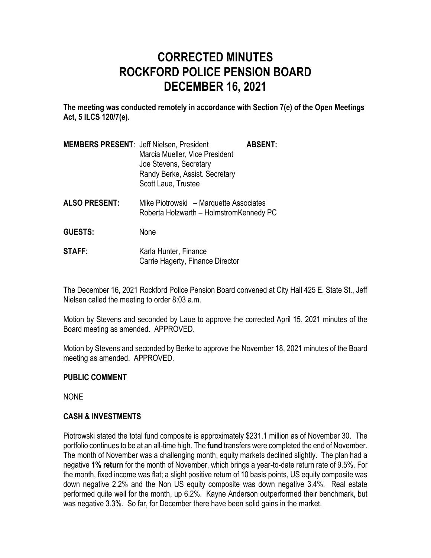# **CORRECTED MINUTES ROCKFORD POLICE PENSION BOARD DECEMBER 16, 2021**

**The meeting was conducted remotely in accordance with Section 7(e) of the Open Meetings Act, 5 ILCS 120/7(e).**

| <b>MEMBERS PRESENT: Jeff Nielsen, President</b> |                                | <b>ABSENT:</b> |
|-------------------------------------------------|--------------------------------|----------------|
|                                                 | Marcia Mueller, Vice President |                |
|                                                 | Joe Stevens, Secretary         |                |
|                                                 | Randy Berke, Assist. Secretary |                |
|                                                 | Scott Laue, Trustee            |                |
|                                                 |                                |                |

- **ALSO PRESENT:** Mike Piotrowski Marquette Associates Roberta Holzwarth – HolmstromKennedy PC
- **GUESTS:** None
- **STAFF:** Karla Hunter, Finance Carrie Hagerty, Finance Director

The December 16, 2021 Rockford Police Pension Board convened at City Hall 425 E. State St., Jeff Nielsen called the meeting to order 8:03 a.m.

Motion by Stevens and seconded by Laue to approve the corrected April 15, 2021 minutes of the Board meeting as amended. APPROVED.

Motion by Stevens and seconded by Berke to approve the November 18, 2021 minutes of the Board meeting as amended. APPROVED.

## **PUBLIC COMMENT**

NONE

## **CASH & INVESTMENTS**

Piotrowski stated the total fund composite is approximately \$231.1 million as of November 30. The portfolio continues to be at an all-time high. The **fund** transfers were completed the end of November. The month of November was a challenging month, equity markets declined slightly. The plan had a negative **1% return** for the month of November, which brings a year-to-date return rate of 9.5%. For the month, fixed income was flat; a slight positive return of 10 basis points, US equity composite was down negative 2.2% and the Non US equity composite was down negative 3.4%. Real estate performed quite well for the month, up 6.2%. Kayne Anderson outperformed their benchmark, but was negative 3.3%. So far, for December there have been solid gains in the market.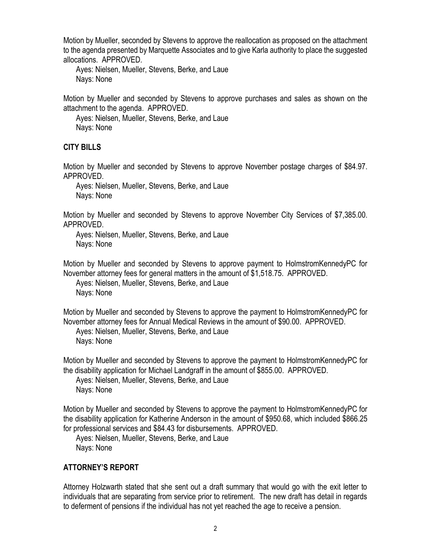Motion by Mueller, seconded by Stevens to approve the reallocation as proposed on the attachment to the agenda presented by Marquette Associates and to give Karla authority to place the suggested allocations. APPROVED.

Ayes: Nielsen, Mueller, Stevens, Berke, and Laue Nays: None

Motion by Mueller and seconded by Stevens to approve purchases and sales as shown on the attachment to the agenda. APPROVED.

Ayes: Nielsen, Mueller, Stevens, Berke, and Laue Nays: None

## **CITY BILLS**

Motion by Mueller and seconded by Stevens to approve November postage charges of \$84.97. APPROVED.

Ayes: Nielsen, Mueller, Stevens, Berke, and Laue Nays: None

Motion by Mueller and seconded by Stevens to approve November City Services of \$7,385.00. APPROVED.

Ayes: Nielsen, Mueller, Stevens, Berke, and Laue Nays: None

Motion by Mueller and seconded by Stevens to approve payment to HolmstromKennedyPC for November attorney fees for general matters in the amount of \$1,518.75. APPROVED.

Ayes: Nielsen, Mueller, Stevens, Berke, and Laue Nays: None

Motion by Mueller and seconded by Stevens to approve the payment to HolmstromKennedyPC for November attorney fees for Annual Medical Reviews in the amount of \$90.00. APPROVED.

Ayes: Nielsen, Mueller, Stevens, Berke, and Laue Nays: None

Motion by Mueller and seconded by Stevens to approve the payment to HolmstromKennedyPC for the disability application for Michael Landgraff in the amount of \$855.00. APPROVED.

Ayes: Nielsen, Mueller, Stevens, Berke, and Laue Nays: None

Motion by Mueller and seconded by Stevens to approve the payment to HolmstromKennedyPC for the disability application for Katherine Anderson in the amount of \$950.68, which included \$866.25 for professional services and \$84.43 for disbursements. APPROVED.

Ayes: Nielsen, Mueller, Stevens, Berke, and Laue Nays: None

## **ATTORNEY'S REPORT**

Attorney Holzwarth stated that she sent out a draft summary that would go with the exit letter to individuals that are separating from service prior to retirement. The new draft has detail in regards to deferment of pensions if the individual has not yet reached the age to receive a pension.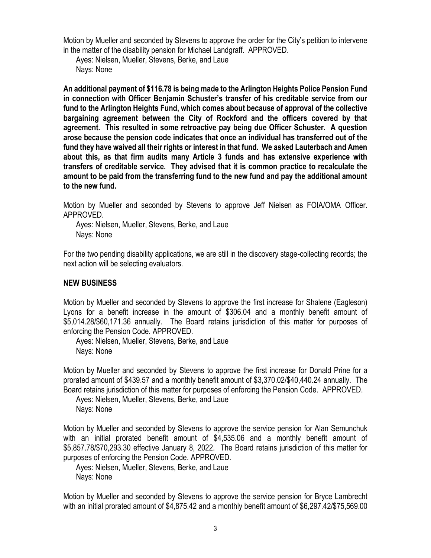Motion by Mueller and seconded by Stevens to approve the order for the City's petition to intervene in the matter of the disability pension for Michael Landgraff. APPROVED.

Ayes: Nielsen, Mueller, Stevens, Berke, and Laue Nays: None

**An additional payment of \$116.78 is being made to the Arlington Heights Police Pension Fund in connection with Officer Benjamin Schuster's transfer of his creditable service from our fund to the Arlington Heights Fund, which comes about because of approval of the collective bargaining agreement between the City of Rockford and the officers covered by that agreement. This resulted in some retroactive pay being due Officer Schuster. A question arose because the pension code indicates that once an individual has transferred out of the fund they have waived all their rights or interest in that fund. We asked Lauterbach and Amen about this, as that firm audits many Article 3 funds and has extensive experience with transfers of creditable service. They advised that it is common practice to recalculate the amount to be paid from the transferring fund to the new fund and pay the additional amount to the new fund.**

Motion by Mueller and seconded by Stevens to approve Jeff Nielsen as FOIA/OMA Officer. APPROVED.

Ayes: Nielsen, Mueller, Stevens, Berke, and Laue Nays: None

For the two pending disability applications, we are still in the discovery stage-collecting records; the next action will be selecting evaluators.

#### **NEW BUSINESS**

Motion by Mueller and seconded by Stevens to approve the first increase for Shalene (Eagleson) Lyons for a benefit increase in the amount of \$306.04 and a monthly benefit amount of \$5,014.28/\$60,171.36 annually. The Board retains jurisdiction of this matter for purposes of enforcing the Pension Code. APPROVED.

Ayes: Nielsen, Mueller, Stevens, Berke, and Laue Nays: None

Motion by Mueller and seconded by Stevens to approve the first increase for Donald Prine for a prorated amount of \$439.57 and a monthly benefit amount of \$3,370.02/\$40,440.24 annually. The Board retains jurisdiction of this matter for purposes of enforcing the Pension Code. APPROVED.

Ayes: Nielsen, Mueller, Stevens, Berke, and Laue Nays: None

Motion by Mueller and seconded by Stevens to approve the service pension for Alan Semunchuk with an initial prorated benefit amount of \$4,535.06 and a monthly benefit amount of \$5,857.78/\$70,293.30 effective January 8, 2022. The Board retains jurisdiction of this matter for purposes of enforcing the Pension Code. APPROVED.

Ayes: Nielsen, Mueller, Stevens, Berke, and Laue Nays: None

Motion by Mueller and seconded by Stevens to approve the service pension for Bryce Lambrecht with an initial prorated amount of \$4,875.42 and a monthly benefit amount of \$6,297.42/\$75,569.00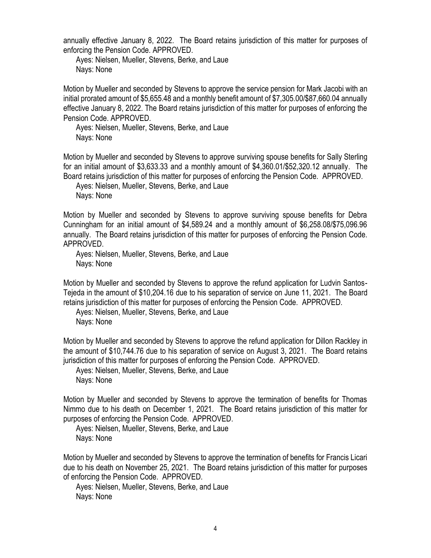annually effective January 8, 2022. The Board retains jurisdiction of this matter for purposes of enforcing the Pension Code. APPROVED.

Ayes: Nielsen, Mueller, Stevens, Berke, and Laue Nays: None

Motion by Mueller and seconded by Stevens to approve the service pension for Mark Jacobi with an initial prorated amount of \$5,655.48 and a monthly benefit amount of \$7,305.00/\$87,660.04 annually effective January 8, 2022. The Board retains jurisdiction of this matter for purposes of enforcing the Pension Code. APPROVED.

Ayes: Nielsen, Mueller, Stevens, Berke, and Laue Nays: None

Motion by Mueller and seconded by Stevens to approve surviving spouse benefits for Sally Sterling for an initial amount of \$3,633.33 and a monthly amount of \$4,360.01/\$52,320.12 annually. The Board retains jurisdiction of this matter for purposes of enforcing the Pension Code. APPROVED.

Ayes: Nielsen, Mueller, Stevens, Berke, and Laue Nays: None

Motion by Mueller and seconded by Stevens to approve surviving spouse benefits for Debra Cunningham for an initial amount of \$4,589.24 and a monthly amount of \$6,258.08/\$75,096.96 annually. The Board retains jurisdiction of this matter for purposes of enforcing the Pension Code. APPROVED.

Ayes: Nielsen, Mueller, Stevens, Berke, and Laue Nays: None

Motion by Mueller and seconded by Stevens to approve the refund application for Ludvin Santos-Tejeda in the amount of \$10,204.16 due to his separation of service on June 11, 2021. The Board retains jurisdiction of this matter for purposes of enforcing the Pension Code. APPROVED.

Ayes: Nielsen, Mueller, Stevens, Berke, and Laue Nays: None

Motion by Mueller and seconded by Stevens to approve the refund application for Dillon Rackley in the amount of \$10,744.76 due to his separation of service on August 3, 2021. The Board retains jurisdiction of this matter for purposes of enforcing the Pension Code. APPROVED.

Ayes: Nielsen, Mueller, Stevens, Berke, and Laue Nays: None

Motion by Mueller and seconded by Stevens to approve the termination of benefits for Thomas Nimmo due to his death on December 1, 2021. The Board retains jurisdiction of this matter for purposes of enforcing the Pension Code. APPROVED.

Ayes: Nielsen, Mueller, Stevens, Berke, and Laue Nays: None

Motion by Mueller and seconded by Stevens to approve the termination of benefits for Francis Licari due to his death on November 25, 2021. The Board retains jurisdiction of this matter for purposes of enforcing the Pension Code. APPROVED.

Ayes: Nielsen, Mueller, Stevens, Berke, and Laue Nays: None